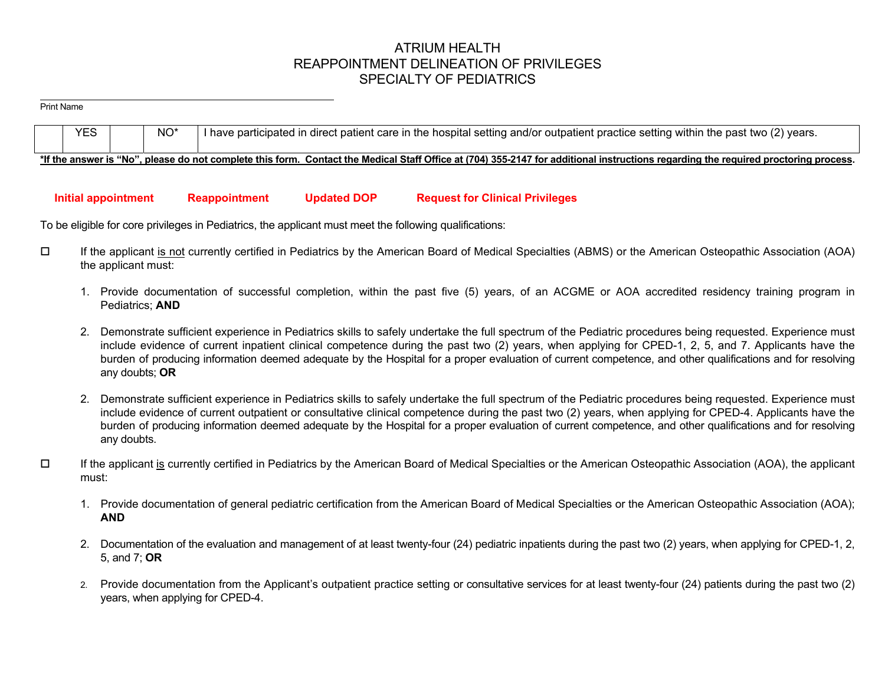# ATRIUM HEALTH REAPPOINTMENT DELINEATION OF PRIVILEGES SPECIALTY OF PEDIATRICS

#### Print Name

| <b>YES</b> |  | I have participated in direct patient care in the hospital setting and/or outpatient practice setting within the past two (2) years.                                               |
|------------|--|------------------------------------------------------------------------------------------------------------------------------------------------------------------------------------|
|            |  | *If the answer is "No", please do not complete this form. Contact the Medical Staff Office at (704) 355-2147 for additional instructions regarding the required proctoring process |

# **Initial appointment Reappointment Updated DOP Request for Clinical Privileges**

To be eligible for core privileges in Pediatrics, the applicant must meet the following qualifications:

- If the applicant is not currently certified in Pediatrics by the American Board of Medical Specialties (ABMS) or the American Osteopathic Association (AOA) the applicant must:
	- 1. Provide documentation of successful completion, within the past five (5) years, of an ACGME or AOA accredited residency training program in Pediatrics; **AND**
	- 2. Demonstrate sufficient experience in Pediatrics skills to safely undertake the full spectrum of the Pediatric procedures being requested. Experience must include evidence of current inpatient clinical competence during the past two (2) years, when applying for CPED-1, 2, 5, and 7. Applicants have the burden of producing information deemed adequate by the Hospital for a proper evaluation of current competence, and other qualifications and for resolving any doubts; **OR**
	- 2. Demonstrate sufficient experience in Pediatrics skills to safely undertake the full spectrum of the Pediatric procedures being requested. Experience must include evidence of current outpatient or consultative clinical competence during the past two (2) years, when applying for CPED-4. Applicants have the burden of producing information deemed adequate by the Hospital for a proper evaluation of current competence, and other qualifications and for resolving any doubts.
- $\Box$  If the applicant is currently certified in Pediatrics by the American Board of Medical Specialties or the American Osteopathic Association (AOA), the applicant must:
	- 1. Provide documentation of general pediatric certification from the American Board of Medical Specialties or the American Osteopathic Association (AOA); **AND**
	- 2. Documentation of the evaluation and management of at least twenty-four (24) pediatric inpatients during the past two (2) years, when applying for CPED-1, 2, 5, and 7; **OR**
	- 2. Provide documentation from the Applicant's outpatient practice setting or consultative services for at least twenty-four (24) patients during the past two (2) years, when applying for CPED-4.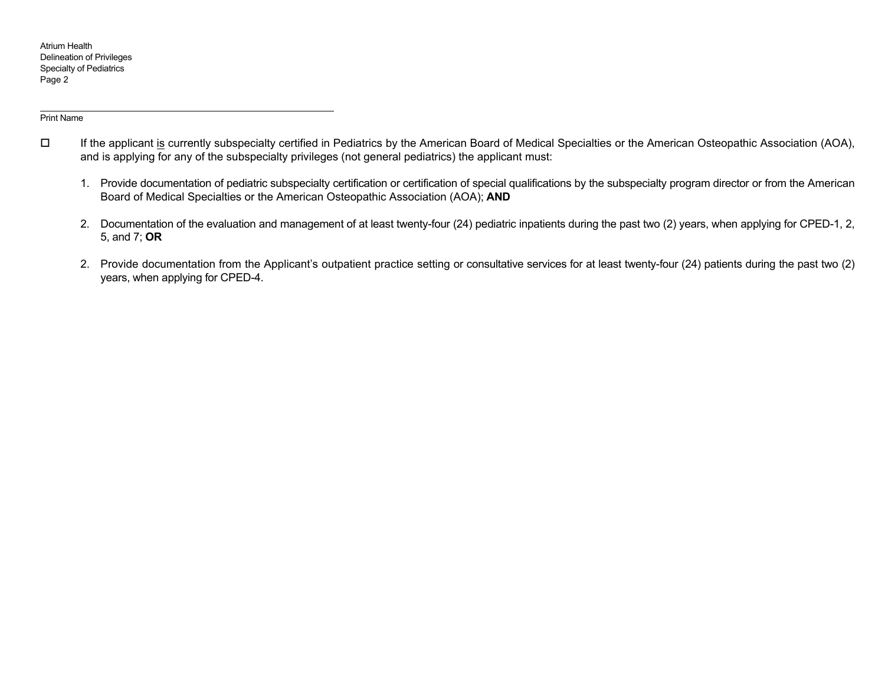#### Print Name

- $\Box$ If the applicant is currently subspecialty certified in Pediatrics by the American Board of Medical Specialties or the American Osteopathic Association (AOA), and is applying for any of the subspecialty privileges (not general pediatrics) the applicant must:
	- 1. Provide documentation of pediatric subspecialty certification or certification of special qualifications by the subspecialty program director or from the American Board of Medical Specialties or the American Osteopathic Association (AOA); **AND**
	- 2. Documentation of the evaluation and management of at least twenty-four (24) pediatric inpatients during the past two (2) years, when applying for CPED-1, 2, 5, and 7; **OR**
	- 2. Provide documentation from the Applicant's outpatient practice setting or consultative services for at least twenty-four (24) patients during the past two (2) years, when applying for CPED-4.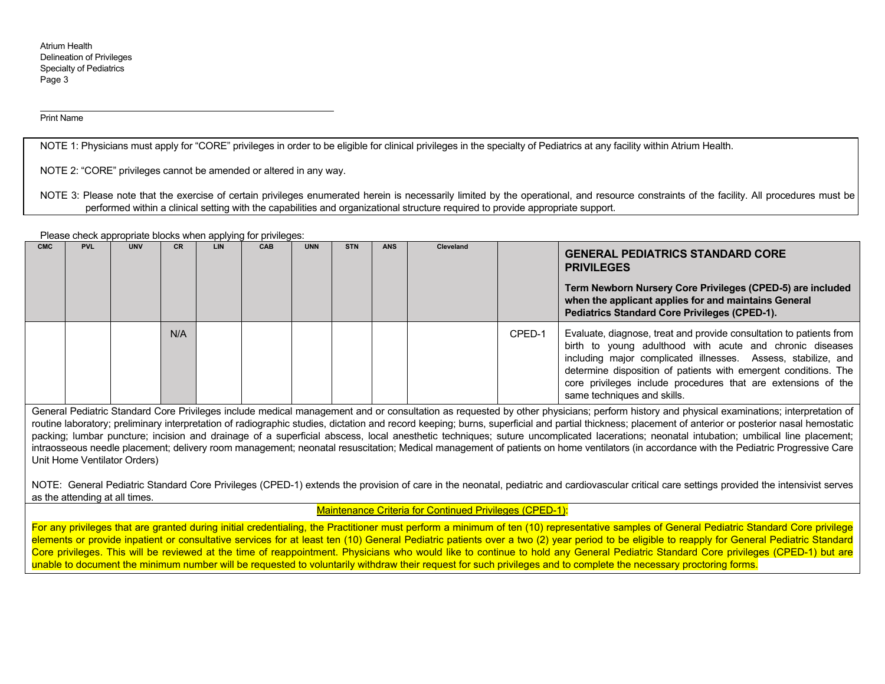#### Print Name

NOTE 1: Physicians must apply for "CORE" privileges in order to be eligible for clinical privileges in the specialty of Pediatrics at any facility within Atrium Health.

NOTE 2: "CORE" privileges cannot be amended or altered in any way.

NOTE 3: Please note that the exercise of certain privileges enumerated herein is necessarily limited by the operational, and resource constraints of the facility. All procedures must be performed within a clinical setting with the capabilities and organizational structure required to provide appropriate support.

Please check appropriate blocks when applying for privileges:

| <b>CMC</b> | <b>PVL</b> | <b>UNV</b> | <b>CR</b> | LIN | <b>CAB</b> | <b>UNN</b> | <b>STN</b> | <b>ANS</b> | Cleveland |        | <b>GENERAL PEDIATRICS STANDARD CORE</b><br><b>PRIVILEGES</b><br>Term Newborn Nursery Core Privileges (CPED-5) are included<br>when the applicant applies for and maintains General<br><b>Pediatrics Standard Core Privileges (CPED-1).</b>                                                                                                                          |
|------------|------------|------------|-----------|-----|------------|------------|------------|------------|-----------|--------|---------------------------------------------------------------------------------------------------------------------------------------------------------------------------------------------------------------------------------------------------------------------------------------------------------------------------------------------------------------------|
|            |            |            | N/A       |     |            |            |            |            |           | CPED-1 | Evaluate, diagnose, treat and provide consultation to patients from<br>birth to young adulthood with acute and chronic diseases<br>including major complicated illnesses. Assess, stabilize, and<br>determine disposition of patients with emergent conditions. The<br>core privileges include procedures that are extensions of the<br>same techniques and skills. |

General Pediatric Standard Core Privileges include medical management and or consultation as requested by other physicians; perform history and physical examinations; interpretation of routine laboratory; preliminary interpretation of radiographic studies, dictation and record keeping; burns, superficial and partial thickness; placement of anterior or posterior nasal hemostatic packing; lumbar puncture; incision and drainage of a superficial abscess, local anesthetic techniques; suture uncomplicated lacerations; neonatal intubation; umbilical line placement; intraosseous needle placement; delivery room management; neonatal resuscitation; Medical management of patients on home ventilators (in accordance with the Pediatric Progressive Care Unit Home Ventilator Orders)

NOTE: General Pediatric Standard Core Privileges (CPED-1) extends the provision of care in the neonatal, pediatric and cardiovascular critical care settings provided the intensivist serves as the attending at all times.

Maintenance Criteria for Continued Privileges (CPED-1):

For any privileges that are granted during initial credentialing, the Practitioner must perform a minimum of ten (10) representative samples of General Pediatric Standard Core privilege elements or provide inpatient or consultative services for at least ten (10) General Pediatric patients over a two (2) year period to be eligible to reapply for General Pediatric Standard Core privileges. This will be reviewed at the time of reappointment. Physicians who would like to continue to hold any General Pediatric Standard Core privileges (CPED-1) but are unable to document the minimum number will be requested to voluntarily withdraw their request for such privileges and to complete the necessary proctoring forms.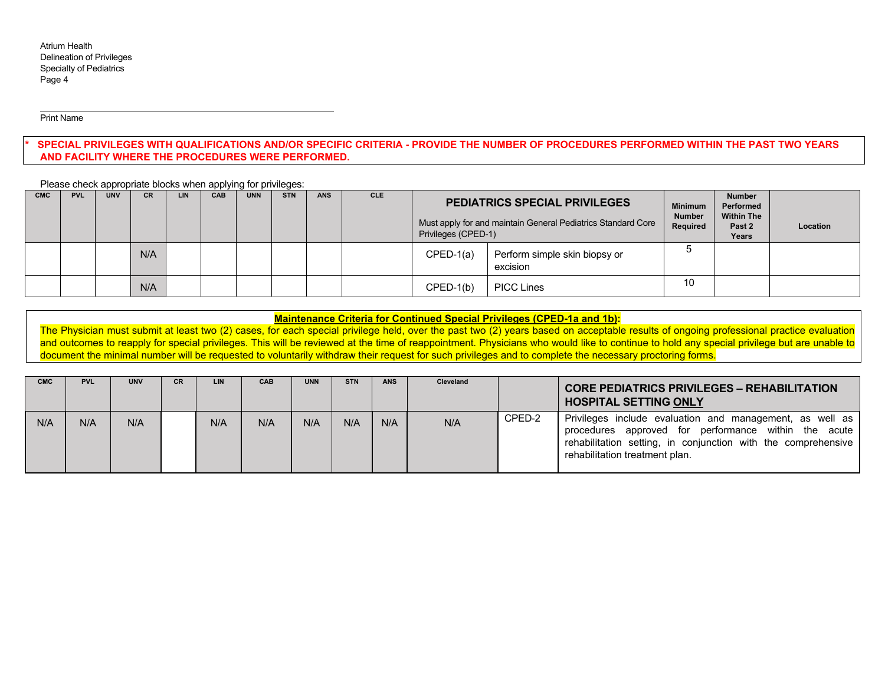Print Name

# SPECIAL PRIVILEGES WITH QUALIFICATIONS AND/OR SPECIFIC CRITERIA - PROVIDE THE NUMBER OF PROCEDURES PERFORMED WITHIN THE PAST TWO YEARS **AND FACILITY WHERE THE PROCEDURES WERE PERFORMED.**

Please check appropriate blocks when applying for privileges:

| <b>CMC</b> | <b>PVL</b> | <b>UNV</b> | <b>CR</b> | LIN | .<br>CAB | <b>UNN</b> | <b>STN</b> | <b>ANS</b> | <b>CLE</b> |             | <b>PEDIATRICS SPECIAL PRIVILEGES</b><br>Must apply for and maintain General Pediatrics Standard Core<br>Privileges (CPED-1) |    | <b>Number</b><br>Performed<br><b>Within The</b><br>Past 2<br>Years | Location |
|------------|------------|------------|-----------|-----|----------|------------|------------|------------|------------|-------------|-----------------------------------------------------------------------------------------------------------------------------|----|--------------------------------------------------------------------|----------|
|            |            |            | N/A       |     |          |            |            |            |            | $CPED-1(a)$ | Perform simple skin biopsy or<br>excision                                                                                   |    |                                                                    |          |
|            |            |            | N/A       |     |          |            |            |            |            | $CPED-1(b)$ | <b>PICC Lines</b>                                                                                                           | 10 |                                                                    |          |

# **Maintenance Criteria for Continued Special Privileges (CPED-1a and 1b):**

The Physician must submit at least two (2) cases, for each special privilege held, over the past two (2) years based on acceptable results of ongoing professional practice evaluation and outcomes to reapply for special privileges. This will be reviewed at the time of reappointment. Physicians who would like to continue to hold any special privilege but are unable to document the minimal number will be requested to voluntarily withdraw their request for such privileges and to complete the necessary proctoring forms.

| <b>CMC</b> | <b>PVL</b> | <b>UNV</b> | CR. | <b>LIN</b> | <b>CAB</b> | <b>UNN</b> | <b>STN</b> | <b>ANS</b> | Cleveland |        | <b>CORE PEDIATRICS PRIVILEGES - REHABILITATION</b><br><b>HOSPITAL SETTING ONLY</b>                                                                                                                                  |
|------------|------------|------------|-----|------------|------------|------------|------------|------------|-----------|--------|---------------------------------------------------------------------------------------------------------------------------------------------------------------------------------------------------------------------|
| N/A        | N/A        | N/A        |     | N/A        | N/A        | N/A        | N/A        | N/A        | N/A       | CPED-2 | Privileges include evaluation and management, as well as<br>procedures approved for performance within the acute<br>rehabilitation setting, in conjunction with the comprehensive<br>rehabilitation treatment plan. |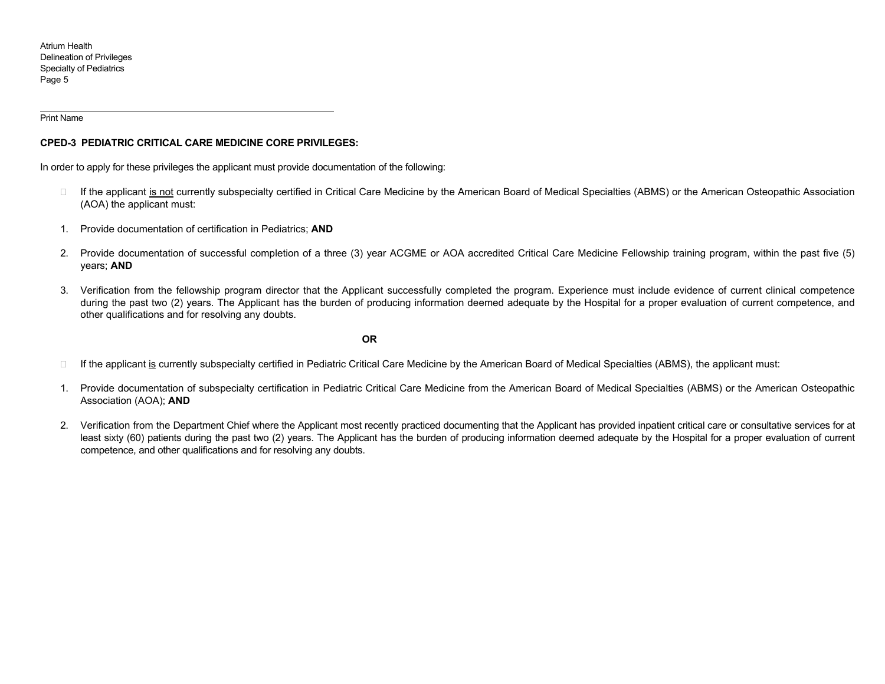Print Name

### **CPED-3 PEDIATRIC CRITICAL CARE MEDICINE CORE PRIVILEGES:**

In order to apply for these privileges the applicant must provide documentation of the following:

- $\Box$  If the applicant is not currently subspecialty certified in Critical Care Medicine by the American Board of Medical Specialties (ABMS) or the American Osteopathic Association (AOA) the applicant must:
- 1. Provide documentation of certification in Pediatrics; **AND**
- 2. Provide documentation of successful completion of a three (3) year ACGME or AOA accredited Critical Care Medicine Fellowship training program, within the past five (5) years; **AND**
- 3. Verification from the fellowship program director that the Applicant successfully completed the program. Experience must include evidence of current clinical competence during the past two (2) years. The Applicant has the burden of producing information deemed adequate by the Hospital for a proper evaluation of current competence, and other qualifications and for resolving any doubts.

**OR**

- $\Box$  If the applicant is currently subspecialty certified in Pediatric Critical Care Medicine by the American Board of Medical Specialties (ABMS), the applicant must:
- 1. Provide documentation of subspecialty certification in Pediatric Critical Care Medicine from the American Board of Medical Specialties (ABMS) or the American Osteopathic Association (AOA); **AND**
- 2. Verification from the Department Chief where the Applicant most recently practiced documenting that the Applicant has provided inpatient critical care or consultative services for at least sixty (60) patients during the past two (2) years. The Applicant has the burden of producing information deemed adequate by the Hospital for a proper evaluation of current competence, and other qualifications and for resolving any doubts.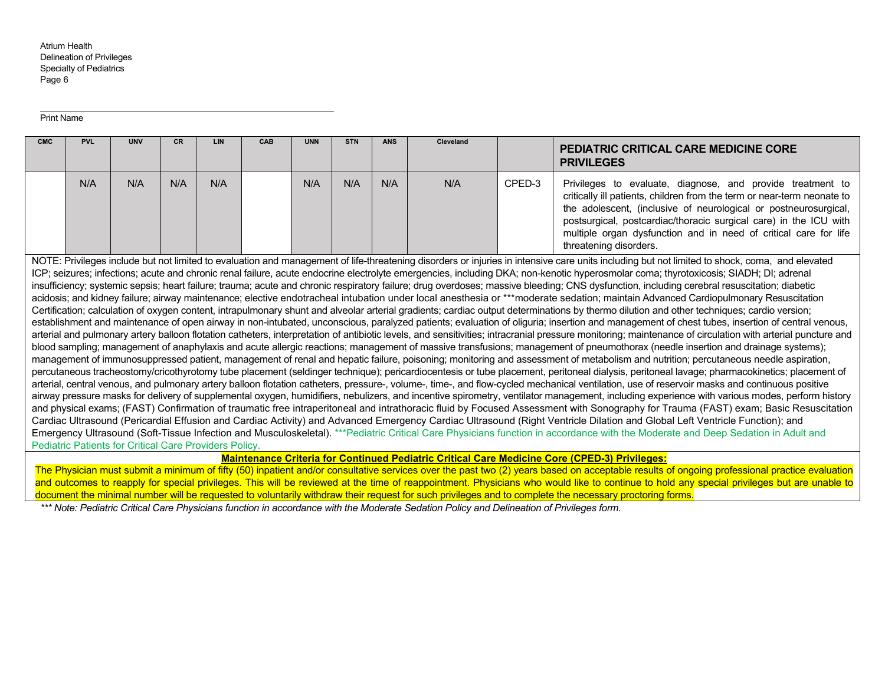#### Print Name

| <b>CMC</b> | <b>PVL</b> | <b>UNV</b> | <b>CR</b> | LIN | <b>CAB</b> | <b>UNN</b> | <b>STN</b> | <b>ANS</b> | <b>Cleveland</b> |        | <b>PEDIATRIC CRITICAL CARE MEDICINE CORE</b><br><b>PRIVILEGES</b>                                                                                                                                                                                                                                                                                                            |
|------------|------------|------------|-----------|-----|------------|------------|------------|------------|------------------|--------|------------------------------------------------------------------------------------------------------------------------------------------------------------------------------------------------------------------------------------------------------------------------------------------------------------------------------------------------------------------------------|
|            | N/A        | N/A        | N/A       | N/A |            | N/A        | N/A        | N/A        | N/A              | CPED-3 | Privileges to evaluate, diagnose, and provide treatment to<br>critically ill patients, children from the term or near-term neonate to<br>the adolescent, (inclusive of neurological or postneurosurgical,<br>postsurgical, postcardiac/thoracic surgical care) in the ICU with<br>multiple organ dysfunction and in need of critical care for life<br>threatening disorders. |

NOTE: Privileges include but not limited to evaluation and management of life-threatening disorders or iniuries in intensive care units including but not limited to shock, coma, and elevated ICP; seizures; infections; acute and chronic renal failure, acute endocrine electrolyte emergencies, including DKA; non-kenotic hyperosmolar coma; thyrotoxicosis; SIADH; DI; adrenal insufficiency; systemic sepsis; heart failure; trauma; acute and chronic respiratory failure; drug overdoses; massive bleeding; CNS dysfunction, including cerebral resuscitation; diabetic acidosis; and kidney failure; airway maintenance; elective endotracheal intubation under local anesthesia or \*\*\*moderate sedation; maintain Advanced Cardiopulmonary Resuscitation Certification; calculation of oxygen content, intrapulmonary shunt and alveolar arterial gradients; cardiac output determinations by thermo dilution and other techniques; cardio version; establishment and maintenance of open airway in non-intubated, unconscious, paralyzed patients; evaluation of oliguria; insertion and management of chest tubes, insertion of central venous, arterial and pulmonary artery balloon flotation catheters, interpretation of antibiotic levels, and sensitivities; intracranial pressure monitoring; maintenance of circulation with arterial puncture and blood sampling; management of anaphylaxis and acute allergic reactions; management of massive transfusions; management of pneumothorax (needle insertion and drainage systems); management of immunosuppressed patient, management of renal and hepatic failure, poisoning; monitoring and assessment of metabolism and nutrition; percutaneous needle aspiration, percutaneous tracheostomy/cricothyrotomy tube placement (seldinger technique); pericardiocentesis or tube placement, peritoneal dialysis, peritoneal lavage; pharmacokinetics; placement of arterial, central venous, and pulmonary artery balloon flotation catheters, pressure-, volume-, time-, and flow-cycled mechanical ventilation, use of reservoir masks and continuous positive airway pressure masks for delivery of supplemental oxygen, humidifiers, nebulizers, and incentive spirometry, ventilator management, including experience with various modes, perform history and physical exams; (FAST) Confirmation of traumatic free intraperitoneal and intrathoracic fluid by Focused Assessment with Sonography for Trauma (FAST) exam; Basic Resuscitation Cardiac Ultrasound (Pericardial Effusion and Cardiac Activity) and Advanced Emergency Cardiac Ultrasound (Right Ventricle Dilation and Global Left Ventricle Function); and Emergency Ultrasound (Soft-Tissue Infection and Musculoskeletal). \*\*\*Pediatric Critical Care Physicians function in accordance with the Moderate and Deep Sedation in Adult and Pediatric Patients for Critical Care Providers Policy.

**Maintenance Criteria for Continued Pediatric Critical Care Medicine Core (CPED-3) Privileges:** 

The Physician must submit a minimum of fifty (50) inpatient and/or consultative services over the past two (2) years based on acceptable results of ongoing professional practice evaluation and outcomes to reapply for special privileges. This will be reviewed at the time of reappointment. Physicians who would like to continue to hold any special privileges but are unable to document the minimal number will be requested to voluntarily withdraw their request for such privileges and to complete the necessary proctoring forms.

*\*\*\* Note: Pediatric Critical Care Physicians function in accordance with the Moderate Sedation Policy and Delineation of Privileges form.*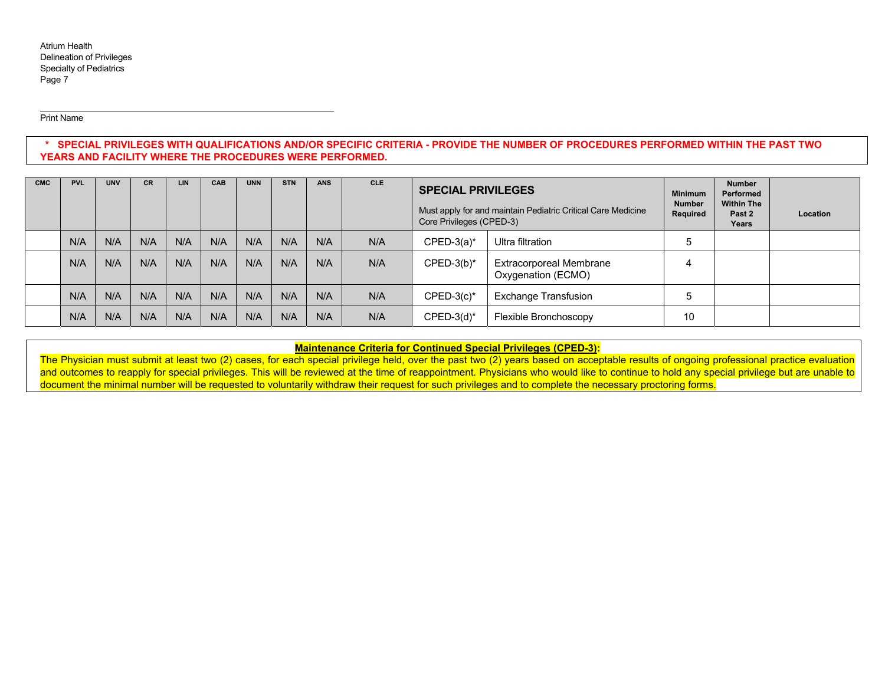Print Name

# **\* SPECIAL PRIVILEGES WITH QUALIFICATIONS AND/OR SPECIFIC CRITERIA - PROVIDE THE NUMBER OF PROCEDURES PERFORMED WITHIN THE PAST TWO YEARS AND FACILITY WHERE THE PROCEDURES WERE PERFORMED.**

| <b>CMC</b> | <b>PVL</b> | <b>UNV</b> | CR  | <b>LIN</b> | <b>CAB</b> | <b>UNN</b> | <b>STN</b> | <b>ANS</b> | <b>CLE</b> | <b>SPECIAL PRIVILEGES</b><br>Core Privileges (CPED-3)                | Must apply for and maintain Pediatric Critical Care Medicine | <b>Minimum</b><br><b>Number</b><br>Required | <b>Number</b><br>Performed<br><b>Within The</b><br>Past 2<br>Years | Location |
|------------|------------|------------|-----|------------|------------|------------|------------|------------|------------|----------------------------------------------------------------------|--------------------------------------------------------------|---------------------------------------------|--------------------------------------------------------------------|----------|
|            | N/A        | N/A        | N/A | N/A        | N/A        | N/A        | N/A        | N/A        | N/A        | $CPED-3(a)*$                                                         | b                                                            |                                             |                                                                    |          |
|            | N/A        | N/A        | N/A | N/A        | N/A        | N/A        | N/A        | N/A        | N/A        | <b>Extracorporeal Membrane</b><br>$CPED-3(b)*$<br>Oxygenation (ECMO) |                                                              |                                             |                                                                    |          |
|            | N/A        | N/A        | N/A | N/A        | N/A        | N/A        | N/A        | N/A        | N/A        | <b>Exchange Transfusion</b><br>$CPED-3(c)*$                          |                                                              | h                                           |                                                                    |          |
|            | N/A        | N/A        | N/A | N/A        | N/A        | N/A        | N/A        | N/A        | N/A        | $CPED-3(d)^*$<br>Flexible Bronchoscopy                               |                                                              | 10                                          |                                                                    |          |

**Maintenance Criteria for Continued Special Privileges (CPED-3):** 

The Physician must submit at least two (2) cases, for each special privilege held, over the past two (2) years based on acceptable results of ongoing professional practice evaluation and outcomes to reapply for special privileges. This will be reviewed at the time of reappointment. Physicians who would like to continue to hold any special privilege but are unable to document the minimal number will be requested to voluntarily withdraw their request for such privileges and to complete the necessary proctoring forms.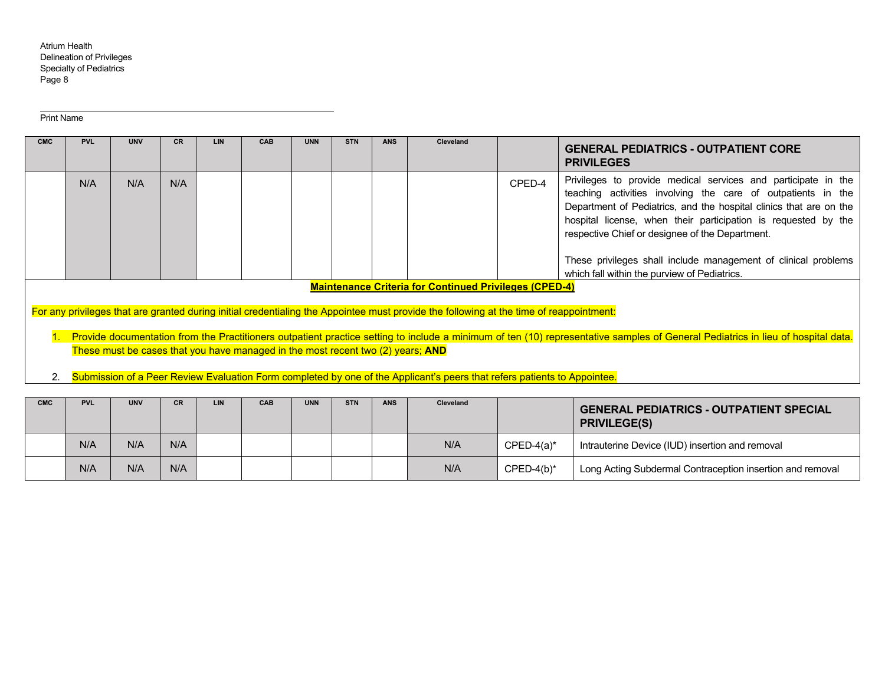Print Name

| <b>CMC</b> | <b>PVL</b>                                                                                                                                                                                                                                                                                                                                                                                                        | <b>UNV</b> | CR  | <b>LIN</b> | <b>CAB</b> | <b>UNN</b> | <b>STN</b> | <b>ANS</b> | Cleveland |        | <b>GENERAL PEDIATRICS - OUTPATIENT CORE</b><br><b>PRIVILEGES</b>                                                                                                                                                                                                                                                                                                                                                                           |  |  |  |  |  |
|------------|-------------------------------------------------------------------------------------------------------------------------------------------------------------------------------------------------------------------------------------------------------------------------------------------------------------------------------------------------------------------------------------------------------------------|------------|-----|------------|------------|------------|------------|------------|-----------|--------|--------------------------------------------------------------------------------------------------------------------------------------------------------------------------------------------------------------------------------------------------------------------------------------------------------------------------------------------------------------------------------------------------------------------------------------------|--|--|--|--|--|
|            | N/A                                                                                                                                                                                                                                                                                                                                                                                                               | N/A        | N/A |            |            |            |            |            |           | CPED-4 | Privileges to provide medical services and participate in the<br>teaching activities involving the care of outpatients in the<br>Department of Pediatrics, and the hospital clinics that are on the<br>hospital license, when their participation is requested by the<br>respective Chief or designee of the Department.<br>These privileges shall include management of clinical problems<br>which fall within the purview of Pediatrics. |  |  |  |  |  |
|            | <b>Maintenance Criteria for Continued Privileges (CPED-4)</b>                                                                                                                                                                                                                                                                                                                                                     |            |     |            |            |            |            |            |           |        |                                                                                                                                                                                                                                                                                                                                                                                                                                            |  |  |  |  |  |
|            | For any privileges that are granted during initial credentialing the Appointee must provide the following at the time of reappointment:<br>1. Provide documentation from the Practitioners outpatient practice setting to include a minimum of ten (10) representative samples of General Pediatrics in lieu of hospital data.<br>These must be cases that you have managed in the most recent two (2) years; AND |            |     |            |            |            |            |            |           |        |                                                                                                                                                                                                                                                                                                                                                                                                                                            |  |  |  |  |  |
|            |                                                                                                                                                                                                                                                                                                                                                                                                                   |            |     |            |            |            |            |            |           |        |                                                                                                                                                                                                                                                                                                                                                                                                                                            |  |  |  |  |  |

2. Submission of a Peer Review Evaluation Form completed by one of the Applicant's peers that refers patients to Appointee.

| <b>CMC</b> | <b>PVL</b> | <b>UNV</b> | CR. | <b>LIN</b> | <b>CAB</b> | <b>UNN</b> | <b>STN</b> | <b>ANS</b> | Cleveland |              | <b>GENERAL PEDIATRICS - OUTPATIENT SPECIAL</b><br><b>PRIVILEGE(S)</b> |
|------------|------------|------------|-----|------------|------------|------------|------------|------------|-----------|--------------|-----------------------------------------------------------------------|
|            | N/A        | N/A        | N/A |            |            |            |            |            | N/A       | $CPED-4(a)*$ | Intrauterine Device (IUD) insertion and removal                       |
|            | N/A        | N/A        | N/A |            |            |            |            |            | N/A       | $CPED-4(b)*$ | Long Acting Subdermal Contraception insertion and removal             |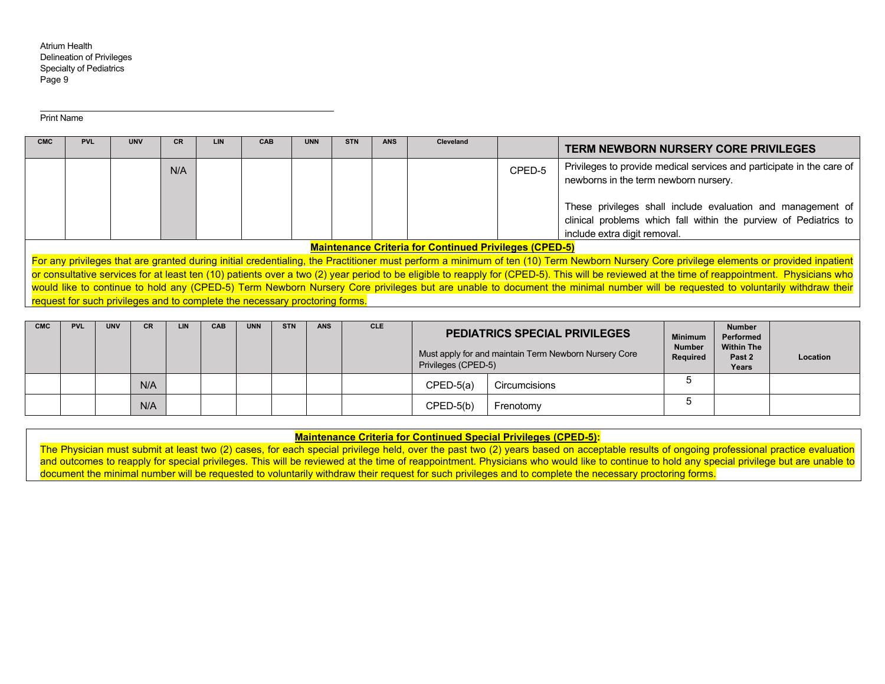Print Name

| <b>CMC</b> | <b>PVL</b>                                                                                                                                                                     | <b>UNV</b>                                                                  | <b>CR</b> | <b>LIN</b> | <b>CAB</b> | <b>UNN</b> | <b>STN</b> | <b>ANS</b> | Cleveland                                                     |        | <b>TERM NEWBORN NURSERY CORE PRIVILEGES</b>                                                                                                                                                   |  |  |  |  |  |
|------------|--------------------------------------------------------------------------------------------------------------------------------------------------------------------------------|-----------------------------------------------------------------------------|-----------|------------|------------|------------|------------|------------|---------------------------------------------------------------|--------|-----------------------------------------------------------------------------------------------------------------------------------------------------------------------------------------------|--|--|--|--|--|
|            |                                                                                                                                                                                |                                                                             |           |            |            |            |            |            |                                                               |        |                                                                                                                                                                                               |  |  |  |  |  |
|            |                                                                                                                                                                                |                                                                             | N/A       |            |            |            |            |            |                                                               | CPED-5 | Privileges to provide medical services and participate in the care of                                                                                                                         |  |  |  |  |  |
|            |                                                                                                                                                                                |                                                                             |           |            |            |            |            |            | newborns in the term newborn nursery.                         |        |                                                                                                                                                                                               |  |  |  |  |  |
|            | These privileges shall include evaluation and management of                                                                                                                    |                                                                             |           |            |            |            |            |            |                                                               |        |                                                                                                                                                                                               |  |  |  |  |  |
|            |                                                                                                                                                                                |                                                                             |           |            |            |            |            |            |                                                               |        | clinical problems which fall within the purview of Pediatrics to                                                                                                                              |  |  |  |  |  |
|            |                                                                                                                                                                                |                                                                             |           |            |            |            |            |            |                                                               |        | include extra digit removal.                                                                                                                                                                  |  |  |  |  |  |
|            |                                                                                                                                                                                |                                                                             |           |            |            |            |            |            | <b>Maintenance Criteria for Continued Privileges (CPED-5)</b> |        |                                                                                                                                                                                               |  |  |  |  |  |
|            |                                                                                                                                                                                |                                                                             |           |            |            |            |            |            |                                                               |        | For any privileges that are granted during initial credentialing, the Practitioner must perform a minimum of ten (10) Term Newborn Nursery Core privilege elements or provided inpatient      |  |  |  |  |  |
|            |                                                                                                                                                                                |                                                                             |           |            |            |            |            |            |                                                               |        | or consultative services for at least ten (10) patients over a two (2) year period to be eligible to reapply for (CPED-5). This will be reviewed at the time of reappointment. Physicians who |  |  |  |  |  |
|            | would like to continue to hold any (CPED-5) Term Newborn Nursery Core privileges but are unable to document the minimal number will be requested to voluntarily withdraw their |                                                                             |           |            |            |            |            |            |                                                               |        |                                                                                                                                                                                               |  |  |  |  |  |
|            |                                                                                                                                                                                | request for such privileges and to complete the necessary proctoring forms. |           |            |            |            |            |            |                                                               |        |                                                                                                                                                                                               |  |  |  |  |  |

| <b>CMC</b> | <b>PVL</b> | <b>UNV</b> | CR  | <b>LIN</b> | CAB | <b>UNN</b> | <b>STN</b> | <b>ANS</b> | <b>CLE</b> |                              | <b>PEDIATRICS SPECIAL PRIVILEGES</b><br>Must apply for and maintain Term Newborn Nursery Core<br>Privileges (CPED-5) |   |  | Location |
|------------|------------|------------|-----|------------|-----|------------|------------|------------|------------|------------------------------|----------------------------------------------------------------------------------------------------------------------|---|--|----------|
|            |            |            | N/A |            |     |            |            |            |            | $CPED-5(a)$<br>Circumcisions |                                                                                                                      | ີ |  |          |
|            |            |            | N/A |            |     |            |            |            |            | $CPED-5(b)$<br>Frenotomy     |                                                                                                                      | ີ |  |          |

# **Maintenance Criteria for Continued Special Privileges (CPED-5):**

The Physician must submit at least two (2) cases, for each special privilege held, over the past two (2) years based on acceptable results of ongoing professional practice evaluation and outcomes to reapply for special privileges. This will be reviewed at the time of reappointment. Physicians who would like to continue to hold any special privilege but are unable to document the minimal number will be requested to voluntarily withdraw their request for such privileges and to complete the necessary proctoring forms.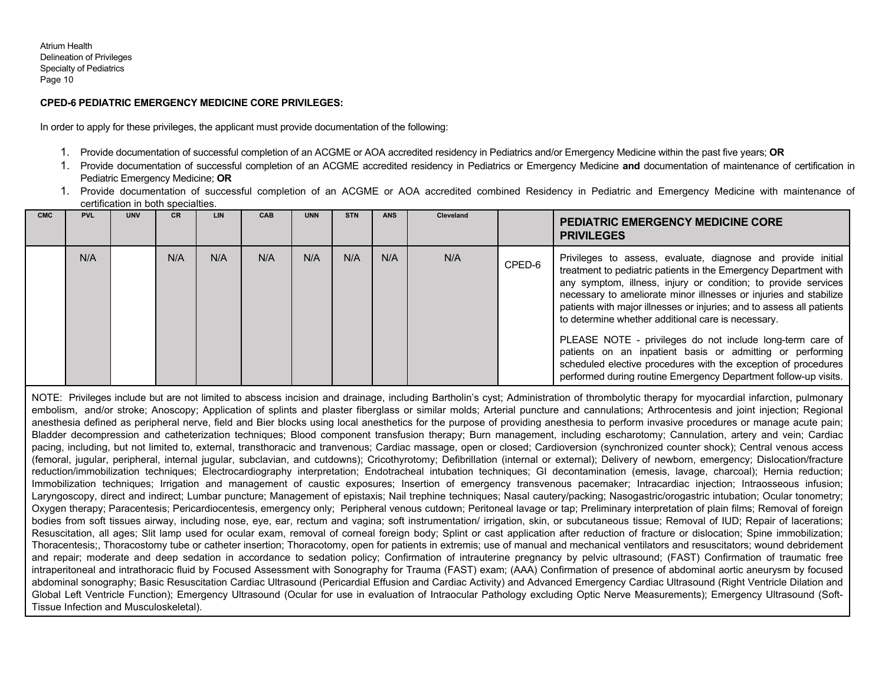# **CPED-6 PEDIATRIC EMERGENCY MEDICINE CORE PRIVILEGES:**

In order to apply for these privileges, the applicant must provide documentation of the following:

- 1. Provide documentation of successful completion of an ACGME or AOA accredited residency in Pediatrics and/or Emergency Medicine within the past five years; **OR**
- 1. Provide documentation of successful completion of an ACGME accredited residency in Pediatrics or Emergency Medicine **and** documentation of maintenance of certification in Pediatric Emergency Medicine; **OR**
- 1. Provide documentation of successful completion of an ACGME or AOA accredited combined Residency in Pediatric and Emergency Medicine with maintenance of certification in both specialties.

| <b>CMC</b> | <b>PVL</b> | <b>LINV</b> | <b>CR</b> | <b>LIN</b> | <b>CAB</b> | <b>UNN</b> | <b>STN</b> | <b>ANS</b> | Cleveland |        | <b>PEDIATRIC EMERGENCY MEDICINE CORE</b><br><b>PRIVILEGES</b>                                                                                                                                                                                                                                                                                                                                          |  |
|------------|------------|-------------|-----------|------------|------------|------------|------------|------------|-----------|--------|--------------------------------------------------------------------------------------------------------------------------------------------------------------------------------------------------------------------------------------------------------------------------------------------------------------------------------------------------------------------------------------------------------|--|
|            | N/A        |             | N/A       | N/A        | N/A        | N/A        | N/A        | N/A        | N/A       | CPED-6 | Privileges to assess, evaluate, diagnose and provide initial<br>treatment to pediatric patients in the Emergency Department with<br>any symptom, illness, injury or condition; to provide services<br>necessary to ameliorate minor illnesses or injuries and stabilize<br>patients with major illnesses or injuries; and to assess all patients<br>to determine whether additional care is necessary. |  |
|            |            |             |           |            |            |            |            |            |           |        | PLEASE NOTE - privileges do not include long-term care of<br>patients on an inpatient basis or admitting or performing<br>scheduled elective procedures with the exception of procedures<br>performed during routine Emergency Department follow-up visits.                                                                                                                                            |  |

NOTE: Privileges include but are not limited to abscess incision and drainage, including Bartholin's cyst; Administration of thrombolytic therapy for myocardial infarction, pulmonary embolism, and/or stroke; Anoscopy; Application of splints and plaster fiberglass or similar molds; Arterial puncture and cannulations; Arthrocentesis and joint injection; Regional anesthesia defined as peripheral nerve, field and Bier blocks using local anesthetics for the purpose of providing anesthesia to perform invasive procedures or manage acute pain; Bladder decompression and catheterization techniques; Blood component transfusion therapy; Burn management, including escharotomy; Cannulation, artery and vein; Cardiac pacing, including, but not limited to, external, transthoracic and tranvenous; Cardiac massage, open or closed; Cardioversion (synchronized counter shock); Central venous access (femoral, jugular, peripheral, internal jugular, subclavian, and cutdowns); Cricothyrotomy; Defibrillation (internal or external); Delivery of newborn, emergency; Dislocation/fracture reduction/immobilization techniques; Electrocardiography interpretation; Endotracheal intubation techniques; GI decontamination (emesis, lavage, charcoal); Hernia reduction; Immobilization techniques; Irrigation and management of caustic exposures; Insertion of emergency transvenous pacemaker; Intracardiac injection; Intraosseous infusion; Laryngoscopy, direct and indirect; Lumbar puncture; Management of epistaxis; Nail trephine techniques; Nasal cautery/packing; Nasogastric/orogastric intubation; Ocular tonometry; Oxygen therapy; Paracentesis; Pericardiocentesis, emergency only; Peripheral venous cutdown; Peritoneal lavage or tap; Preliminary interpretation of plain films; Removal of foreign bodies from soft tissues airway, including nose, eye, ear, rectum and vagina; soft instrumentation/ irrigation, skin, or subcutaneous tissue; Removal of IUD; Repair of lacerations; Resuscitation, all ages; Slit lamp used for ocular exam, removal of corneal foreign body; Splint or cast application after reduction of fracture or dislocation; Spine immobilization; Thoracentesis;, Thoracostomy tube or catheter insertion; Thoracotomy, open for patients in extremis; use of manual and mechanical ventilators and resuscitators; wound debridement and repair; moderate and deep sedation in accordance to sedation policy; Confirmation of intrauterine pregnancy by pelvic ultrasound; (FAST) Confirmation of traumatic free intraperitoneal and intrathoracic fluid by Focused Assessment with Sonography for Trauma (FAST) exam; (AAA) Confirmation of presence of abdominal aortic aneurysm by focused abdominal sonography; Basic Resuscitation Cardiac Ultrasound (Pericardial Effusion and Cardiac Activity) and Advanced Emergency Cardiac Ultrasound (Right Ventricle Dilation and Global Left Ventricle Function); Emergency Ultrasound (Ocular for use in evaluation of Intraocular Pathology excluding Optic Nerve Measurements); Emergency Ultrasound (Soft-Tissue Infection and Musculoskeletal).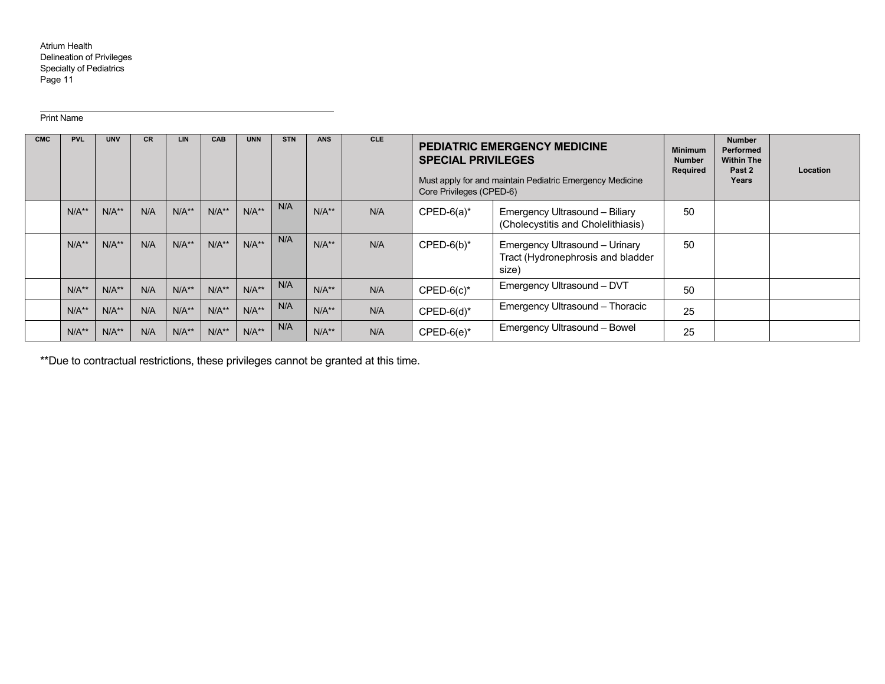#### Print Name

| <b>CMC</b> | <b>PVL</b> | <b>UNV</b> | <b>CR</b> | <b>LIN</b> | CAB     | <b>UNN</b> | <b>STN</b> | <b>ANS</b> | <b>CLE</b> | <b>SPECIAL PRIVILEGES</b><br>Core Privileges (CPED-6)                                         | <b>PEDIATRIC EMERGENCY MEDICINE</b><br>Must apply for and maintain Pediatric Emergency Medicine | <b>Minimum</b><br><b>Number</b><br>Required | <b>Number</b><br>Performed<br><b>Within The</b><br>Past 2<br>Years | <b>Location</b> |
|------------|------------|------------|-----------|------------|---------|------------|------------|------------|------------|-----------------------------------------------------------------------------------------------|-------------------------------------------------------------------------------------------------|---------------------------------------------|--------------------------------------------------------------------|-----------------|
|            | $N/A**$    | $N/A**$    | N/A       | $N/A**$    | $N/A**$ | $N/A**$    | N/A        | $N/A**$    | N/A        | $CPED-6(a)*$<br>Emergency Ultrasound - Biliary<br>(Cholecystitis and Cholelithiasis)          |                                                                                                 | 50                                          |                                                                    |                 |
|            | $N/A**$    | $N/A**$    | N/A       | $N/A**$    | $N/A**$ | $N/A**$    | N/A        | $N/A**$    | N/A        | $CPED-6(b)^*$<br>Emergency Ultrasound - Urinary<br>Tract (Hydronephrosis and bladder<br>size) |                                                                                                 | 50                                          |                                                                    |                 |
|            | $N/A**$    | $N/A**$    | N/A       | $N/A**$    | $N/A**$ | $N/A**$    | N/A        | $N/A**$    | N/A        | Emergency Ultrasound - DVT<br>$CPED-6(c)$ *                                                   |                                                                                                 | 50                                          |                                                                    |                 |
|            | $N/A**$    | $N/A**$    | N/A       | $N/A**$    | $N/A**$ | $N/A**$    | N/A        | $N/A**$    | N/A        | Emergency Ultrasound - Thoracic<br>$CPED-6(d)^*$                                              |                                                                                                 | 25                                          |                                                                    |                 |
|            | $N/A**$    | $N/A**$    | N/A       | $N/A**$    | $N/A**$ | $N/A**$    | N/A        | $N/A**$    | N/A        | Emergency Ultrasound - Bowel<br>$CPED-6(e)^*$                                                 |                                                                                                 | 25                                          |                                                                    |                 |

\*\*Due to contractual restrictions, these privileges cannot be granted at this time.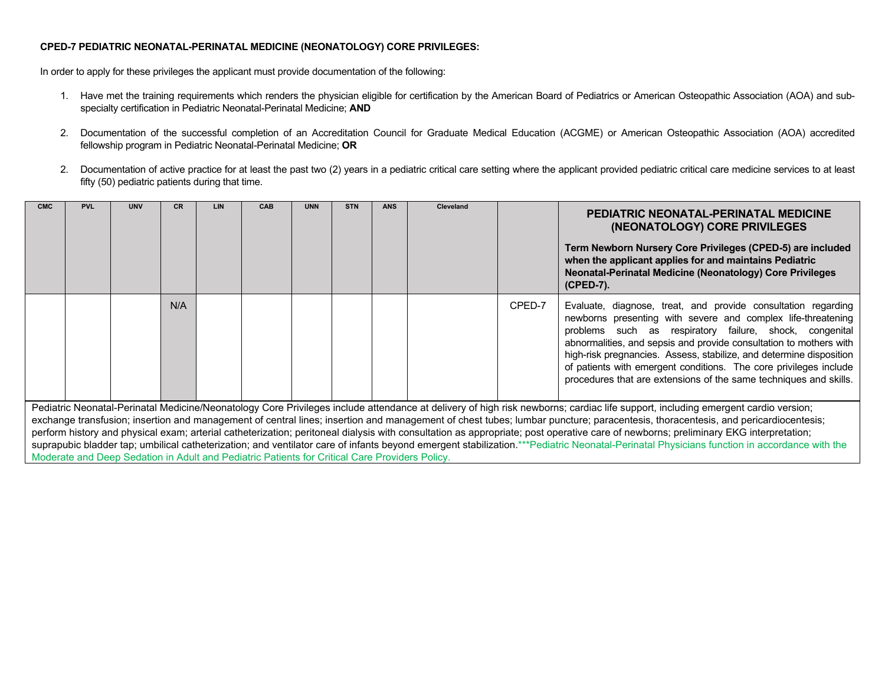# **CPED-7 PEDIATRIC NEONATAL-PERINATAL MEDICINE (NEONATOLOGY) CORE PRIVILEGES:**

In order to apply for these privileges the applicant must provide documentation of the following:

- 1. Have met the training requirements which renders the physician eligible for certification by the American Board of Pediatrics or American Osteopathic Association (AOA) and subspecialty certification in Pediatric Neonatal-Perinatal Medicine; **AND**
- 2. Documentation of the successful completion of an Accreditation Council for Graduate Medical Education (ACGME) or American Osteopathic Association (AOA) accredited fellowship program in Pediatric Neonatal-Perinatal Medicine; **OR**
- 2. Documentation of active practice for at least the past two (2) years in a pediatric critical care setting where the applicant provided pediatric critical care medicine services to at least fifty (50) pediatric patients during that time.

| <b>CMC</b>                                                                                                                                                                                                                                                                                                                                                                                                                                                                                                                           | <b>PVL</b> | <b>UNV</b> | CR. | LIN. | CAB | <b>UNN</b> | <b>STN</b> | <b>ANS</b> | Cleveland |        | PEDIATRIC NEONATAL-PERINATAL MEDICINE<br>(NEONATOLOGY) CORE PRIVILEGES<br>Term Newborn Nursery Core Privileges (CPED-5) are included<br>when the applicant applies for and maintains Pediatric<br>Neonatal-Perinatal Medicine (Neonatology) Core Privileges<br>(CPED-7).                                                                                                                                                                                                        |
|--------------------------------------------------------------------------------------------------------------------------------------------------------------------------------------------------------------------------------------------------------------------------------------------------------------------------------------------------------------------------------------------------------------------------------------------------------------------------------------------------------------------------------------|------------|------------|-----|------|-----|------------|------------|------------|-----------|--------|---------------------------------------------------------------------------------------------------------------------------------------------------------------------------------------------------------------------------------------------------------------------------------------------------------------------------------------------------------------------------------------------------------------------------------------------------------------------------------|
|                                                                                                                                                                                                                                                                                                                                                                                                                                                                                                                                      |            |            | N/A |      |     |            |            |            |           | CPED-7 | Evaluate, diagnose, treat, and provide consultation regarding<br>newborns presenting with severe and complex life-threatening<br>problems such as respiratory failure, shock, congenital<br>abnormalities, and sepsis and provide consultation to mothers with<br>high-risk pregnancies. Assess, stabilize, and determine disposition<br>of patients with emergent conditions. The core privileges include<br>procedures that are extensions of the same techniques and skills. |
| Pediatric Neonatal-Perinatal Medicine/Neonatology Core Privileges include attendance at delivery of high risk newborns; cardiac life support, including emergent cardio version;<br>exchange transfusion; insertion and management of central lines; insertion and management of chest tubes; lumbar puncture; paracentesis, thoracentesis, and pericardiocentesis;<br>infract blirac in distribution caracteristical component distributions in constructed in control of a code and care construction methods. ■1/^ to respect the |            |            |     |      |     |            |            |            |           |        |                                                                                                                                                                                                                                                                                                                                                                                                                                                                                 |

perform history and physical exam; arterial catheterization; peritoneal dialysis with consultation as appropriate; post operative care of newborns; preliminary EKG interpretation; suprapubic bladder tap; umbilical catheterization; and ventilator care of infants beyond emergent stabilization.\*\*\*Pediatric Neonatal-Perinatal Physicians function in accordance with the Moderate and Deep Sedation in Adult and Pediatric Patients for Critical Care Providers Policy.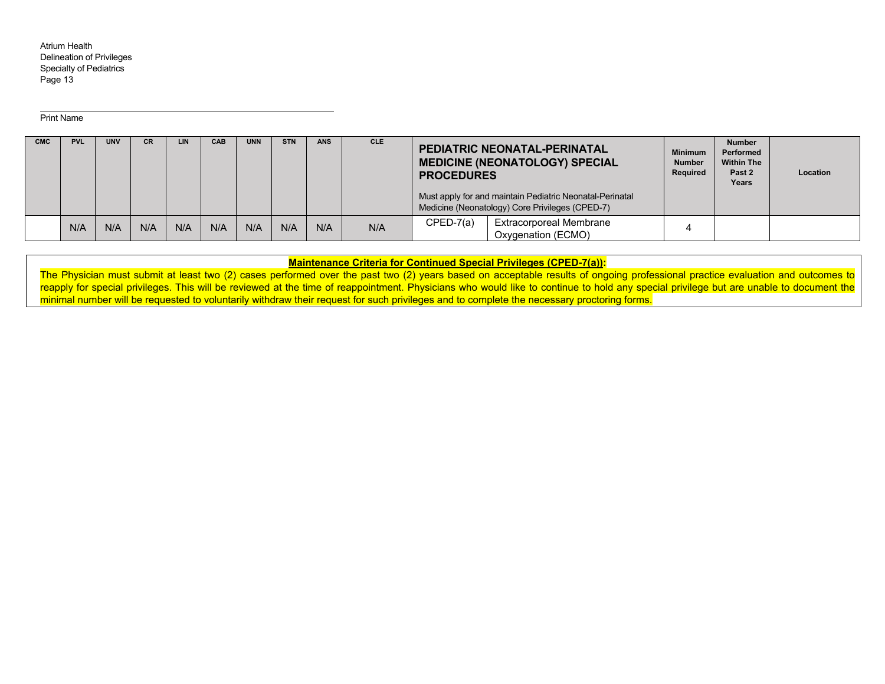Print Name

| <b>CMC</b> | <b>PVL</b> | <b>UNV</b> | <b>CR</b> | <b>LIN</b> | CAB | <b>UNN</b> | <b>STN</b> | <b>ANS</b> | <b>CLE</b> | <b>PROCEDURES</b> | <b>PEDIATRIC NEONATAL-PERINATAL</b><br><b>MEDICINE (NEONATOLOGY) SPECIAL</b><br>Must apply for and maintain Pediatric Neonatal-Perinatal<br>Medicine (Neonatology) Core Privileges (CPED-7) | <b>Minimum</b><br><b>Number</b><br>Required | <b>Number</b><br>Performed<br><b>Within The</b><br>Past 2<br>Years | Location |
|------------|------------|------------|-----------|------------|-----|------------|------------|------------|------------|-------------------|---------------------------------------------------------------------------------------------------------------------------------------------------------------------------------------------|---------------------------------------------|--------------------------------------------------------------------|----------|
|            | N/A        | N/A        | N/A       | N/A        | N/A | N/A        | N/A        | N/A        | N/A        | $CPED-7(a)$       | <b>Extracorporeal Membrane</b><br>Oxygenation (ECMO)                                                                                                                                        |                                             |                                                                    |          |

**Maintenance Criteria for Continued Special Privileges (CPED-7(a)):** 

The Physician must submit at least two (2) cases performed over the past two (2) years based on acceptable results of ongoing professional practice evaluation and outcomes to reapply for special privileges. This will be reviewed at the time of reappointment. Physicians who would like to continue to hold any special privilege but are unable to document the minimal number will be requested to voluntarily withdraw their request for such privileges and to complete the necessary proctoring forms.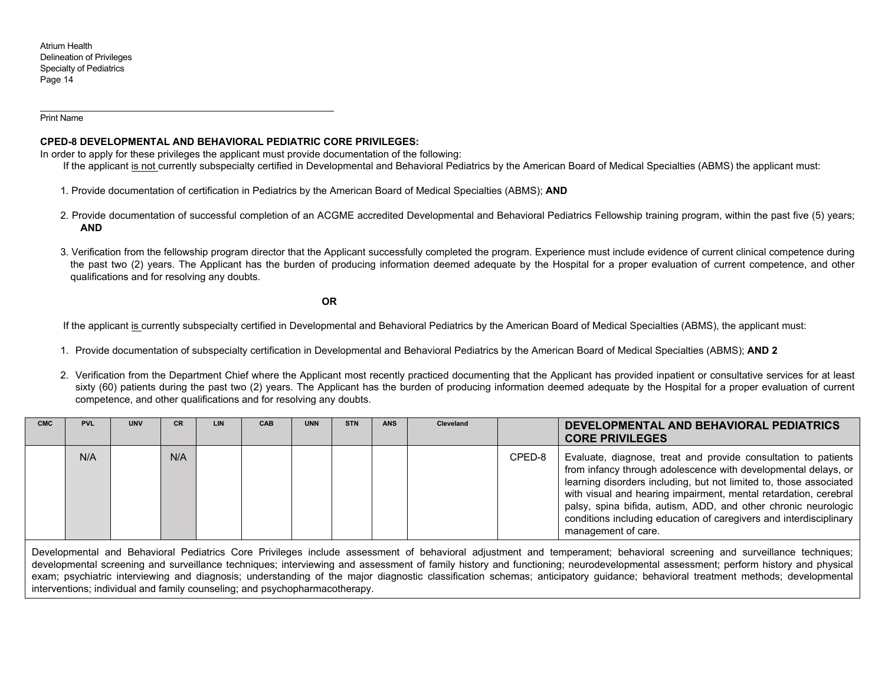Print Name

## **CPED-8 DEVELOPMENTAL AND BEHAVIORAL PEDIATRIC CORE PRIVILEGES:**

In order to apply for these privileges the applicant must provide documentation of the following:

If the applicant is not currently subspecialty certified in Developmental and Behavioral Pediatrics by the American Board of Medical Specialties (ABMS) the applicant must:

- 1. Provide documentation of certification in Pediatrics by the American Board of Medical Specialties (ABMS); **AND**
- 2. Provide documentation of successful completion of an ACGME accredited Developmental and Behavioral Pediatrics Fellowship training program, within the past five (5) years; **AND**
- 3. Verification from the fellowship program director that the Applicant successfully completed the program. Experience must include evidence of current clinical competence during the past two (2) years. The Applicant has the burden of producing information deemed adequate by the Hospital for a proper evaluation of current competence, and other qualifications and for resolving any doubts.

**OR** 

If the applicant is currently subspecialty certified in Developmental and Behavioral Pediatrics by the American Board of Medical Specialties (ABMS), the applicant must:

- 1. Provide documentation of subspecialty certification in Developmental and Behavioral Pediatrics by the American Board of Medical Specialties (ABMS); **AND 2**
- 2. Verification from the Department Chief where the Applicant most recently practiced documenting that the Applicant has provided inpatient or consultative services for at least sixty (60) patients during the past two (2) years. The Applicant has the burden of producing information deemed adequate by the Hospital for a proper evaluation of current competence, and other qualifications and for resolving any doubts.

| <b>CMC</b> | <b>PVL</b> | <b>UNV</b> | CR. | LIN | <b>CAB</b> | <b>UNN</b> | <b>STN</b> | <b>ANS</b> | Cleveland |        | DEVELOPMENTAL AND BEHAVIORAL PEDIATRICS<br><b>CORE PRIVILEGES</b>                                                                                                                                                                                                                                                                                                                                                                         |
|------------|------------|------------|-----|-----|------------|------------|------------|------------|-----------|--------|-------------------------------------------------------------------------------------------------------------------------------------------------------------------------------------------------------------------------------------------------------------------------------------------------------------------------------------------------------------------------------------------------------------------------------------------|
|            | N/A        |            | N/A |     |            |            |            |            |           | CPED-8 | Evaluate, diagnose, treat and provide consultation to patients<br>from infancy through adolescence with developmental delays, or<br>learning disorders including, but not limited to, those associated<br>with visual and hearing impairment, mental retardation, cerebral<br>palsy, spina bifida, autism, ADD, and other chronic neurologic<br>conditions including education of caregivers and interdisciplinary<br>management of care. |

Developmental and Behavioral Pediatrics Core Privileges include assessment of behavioral adjustment and temperament; behavioral screening and surveillance techniques; developmental screening and surveillance techniques; interviewing and assessment of family history and functioning; neurodevelopmental assessment; perform history and physical exam; psychiatric interviewing and diagnosis; understanding of the major diagnostic classification schemas; anticipatory guidance; behavioral treatment methods; developmental interventions; individual and family counseling; and psychopharmacotherapy.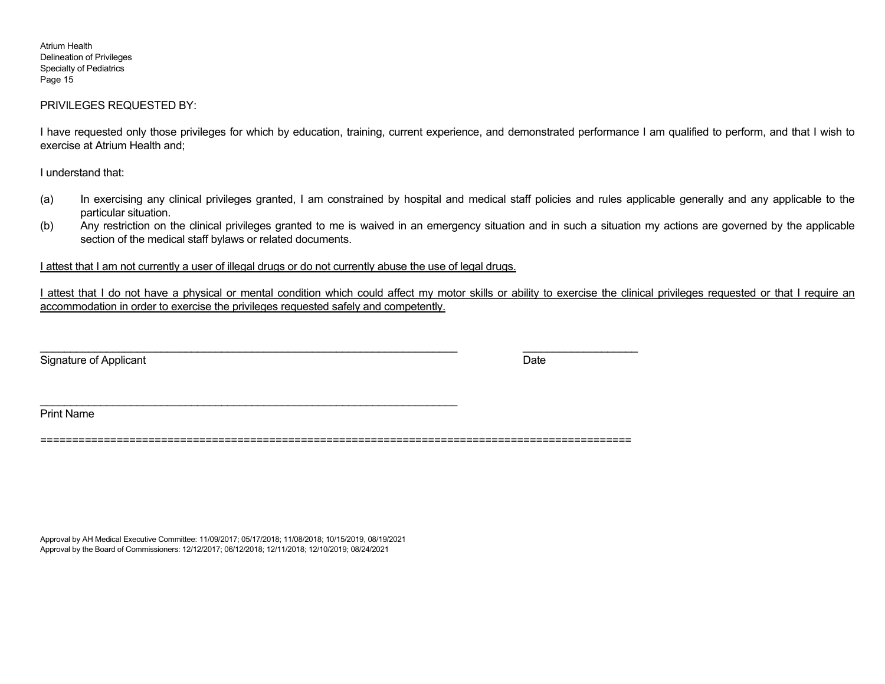## PRIVILEGES REQUESTED BY:

I have requested only those privileges for which by education, training, current experience, and demonstrated performance I am qualified to perform, and that I wish to exercise at Atrium Health and;

I understand that:

- (a) In exercising any clinical privileges granted, I am constrained by hospital and medical staff policies and rules applicable generally and any applicable to the particular situation.
- (b) Any restriction on the clinical privileges granted to me is waived in an emergency situation and in such a situation my actions are governed by the applicable section of the medical staff bylaws or related documents.

I attest that I am not currently a user of illegal drugs or do not currently abuse the use of legal drugs.

I attest that I do not have a physical or mental condition which could affect my motor skills or ability to exercise the clinical privileges requested or that I require an accommodation in order to exercise the privileges requested safely and competently.

Signature of Applicant Date

Print Name

=============================================================================================

Approval by AH Medical Executive Committee: 11/09/2017; 05/17/2018; 11/08/2018; 10/15/2019, 08/19/2021 Approval by the Board of Commissioners: 12/12/2017; 06/12/2018; 12/11/2018; 12/10/2019; 08/24/2021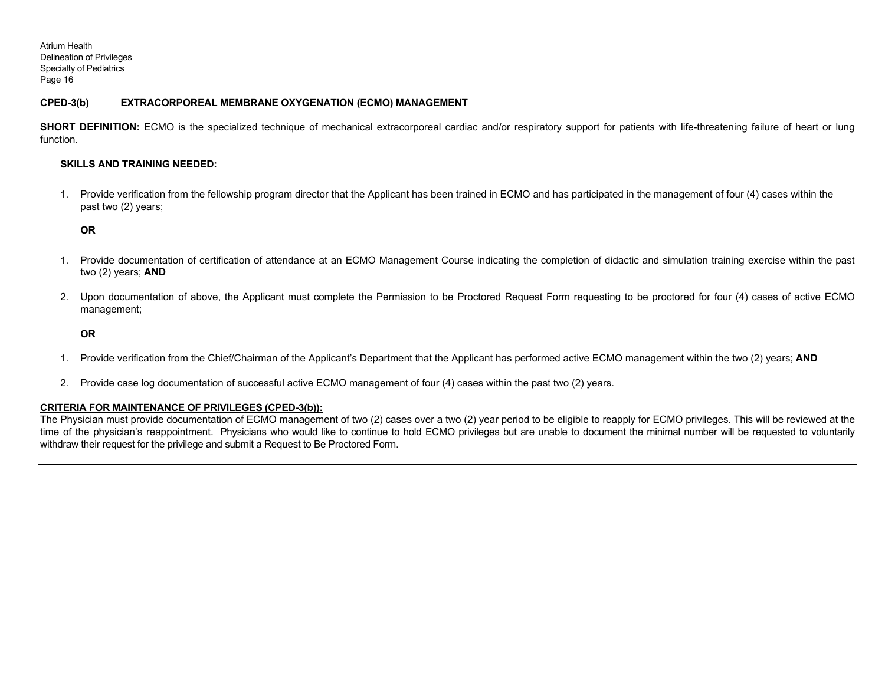# **CPED-3(b) EXTRACORPOREAL MEMBRANE OXYGENATION (ECMO) MANAGEMENT**

**SHORT DEFINITION:** ECMO is the specialized technique of mechanical extracorporeal cardiac and/or respiratory support for patients with life-threatening failure of heart or lung function.

#### **SKILLS AND TRAINING NEEDED:**

1. Provide verification from the fellowship program director that the Applicant has been trained in ECMO and has participated in the management of four (4) cases within the past two (2) years;

**OR** 

- 1. Provide documentation of certification of attendance at an ECMO Management Course indicating the completion of didactic and simulation training exercise within the past two (2) years; **AND**
- 2. Upon documentation of above, the Applicant must complete the Permission to be Proctored Request Form requesting to be proctored for four (4) cases of active ECMO management;

**OR** 

- 1. Provide verification from the Chief/Chairman of the Applicant's Department that the Applicant has performed active ECMO management within the two (2) years; **AND**
- 2. Provide case log documentation of successful active ECMO management of four (4) cases within the past two (2) years.

### **CRITERIA FOR MAINTENANCE OF PRIVILEGES (CPED-3(b)):**

The Physician must provide documentation of ECMO management of two (2) cases over a two (2) year period to be eligible to reapply for ECMO privileges. This will be reviewed at the time of the physician's reappointment. Physicians who would like to continue to hold ECMO privileges but are unable to document the minimal number will be requested to voluntarily withdraw their request for the privilege and submit a Request to Be Proctored Form.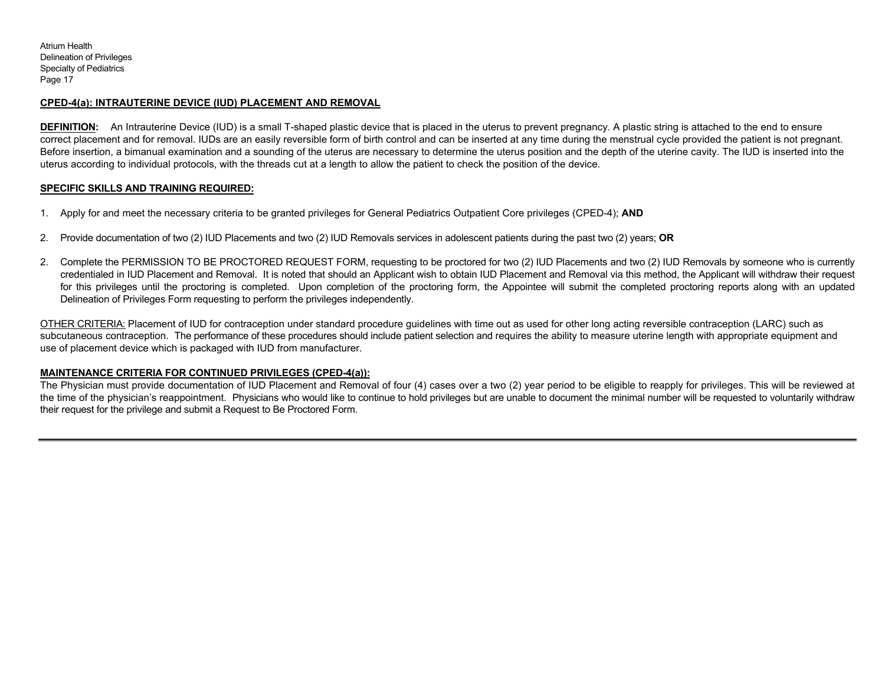# **CPED-4(a): INTRAUTERINE DEVICE (IUD) PLACEMENT AND REMOVAL**

**DEFINITION:** An Intrauterine Device (IUD) is a small T-shaped plastic device that is placed in the uterus to prevent pregnancy. A plastic string is attached to the end to ensure correct placement and for removal. IUDs are an easily reversible form of birth control and can be inserted at any time during the menstrual cycle provided the patient is not pregnant. Before insertion, a bimanual examination and a sounding of the uterus are necessary to determine the uterus position and the depth of the uterine cavity. The IUD is inserted into the uterus according to individual protocols, with the threads cut at a length to allow the patient to check the position of the device.

# **SPECIFIC SKILLS AND TRAINING REQUIRED:**

- 1. Apply for and meet the necessary criteria to be granted privileges for General Pediatrics Outpatient Core privileges (CPED-4); **AND**
- 2. Provide documentation of two (2) IUD Placements and two (2) IUD Removals services in adolescent patients during the past two (2) years; **OR**
- 2. Complete the PERMISSION TO BE PROCTORED REQUEST FORM, requesting to be proctored for two (2) IUD Placements and two (2) IUD Removals by someone who is currently credentialed in IUD Placement and Removal. It is noted that should an Applicant wish to obtain IUD Placement and Removal via this method, the Applicant will withdraw their request for this privileges until the proctoring is completed. Upon completion of the proctoring form, the Appointee will submit the completed proctoring reports along with an updated Delineation of Privileges Form requesting to perform the privileges independently.

OTHER CRITERIA: Placement of IUD for contraception under standard procedure guidelines with time out as used for other long acting reversible contraception (LARC) such as subcutaneous contraception. The performance of these procedures should include patient selection and requires the ability to measure uterine length with appropriate equipment and use of placement device which is packaged with IUD from manufacturer.

### **MAINTENANCE CRITERIA FOR CONTINUED PRIVILEGES (CPED-4(a)):**

The Physician must provide documentation of IUD Placement and Removal of four (4) cases over a two (2) year period to be eligible to reapply for privileges. This will be reviewed at the time of the physician's reappointment. Physicians who would like to continue to hold privileges but are unable to document the minimal number will be requested to voluntarily withdraw their request for the privilege and submit a Request to Be Proctored Form.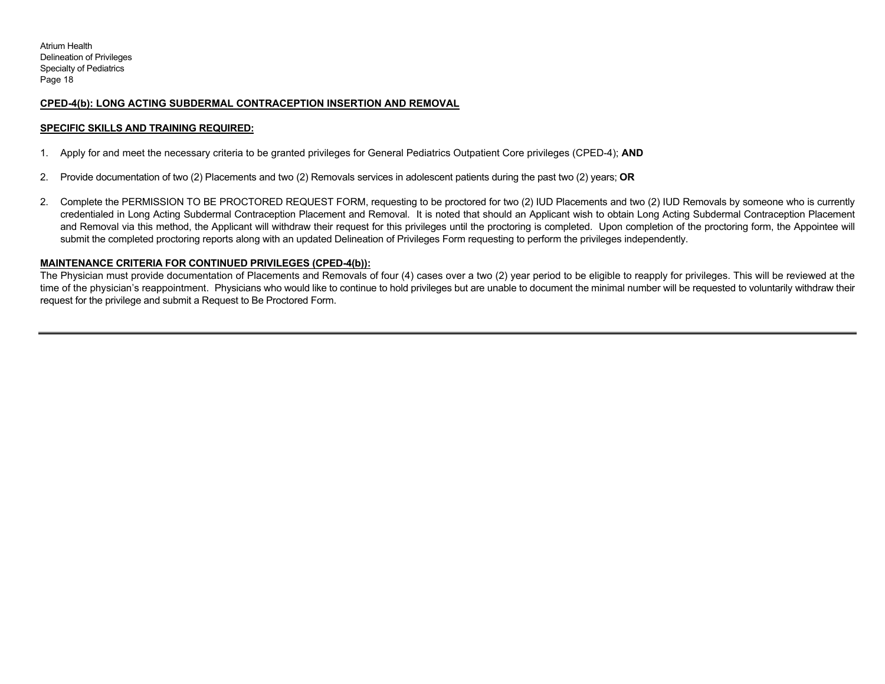# **CPED-4(b): LONG ACTING SUBDERMAL CONTRACEPTION INSERTION AND REMOVAL**

### **SPECIFIC SKILLS AND TRAINING REQUIRED:**

- 1. Apply for and meet the necessary criteria to be granted privileges for General Pediatrics Outpatient Core privileges (CPED-4); **AND**
- 2. Provide documentation of two (2) Placements and two (2) Removals services in adolescent patients during the past two (2) years; **OR**
- 2. Complete the PERMISSION TO BE PROCTORED REQUEST FORM, requesting to be proctored for two (2) IUD Placements and two (2) IUD Removals by someone who is currently credentialed in Long Acting Subdermal Contraception Placement and Removal. It is noted that should an Applicant wish to obtain Long Acting Subdermal Contraception Placement and Removal via this method, the Applicant will withdraw their request for this privileges until the proctoring is completed. Upon completion of the proctoring form, the Appointee will submit the completed proctoring reports along with an updated Delineation of Privileges Form requesting to perform the privileges independently.

#### **MAINTENANCE CRITERIA FOR CONTINUED PRIVILEGES (CPED-4(b)):**

The Physician must provide documentation of Placements and Removals of four (4) cases over a two (2) year period to be eligible to reapply for privileges. This will be reviewed at the time of the physician's reappointment. Physicians who would like to continue to hold privileges but are unable to document the minimal number will be requested to voluntarily withdraw their request for the privilege and submit a Request to Be Proctored Form.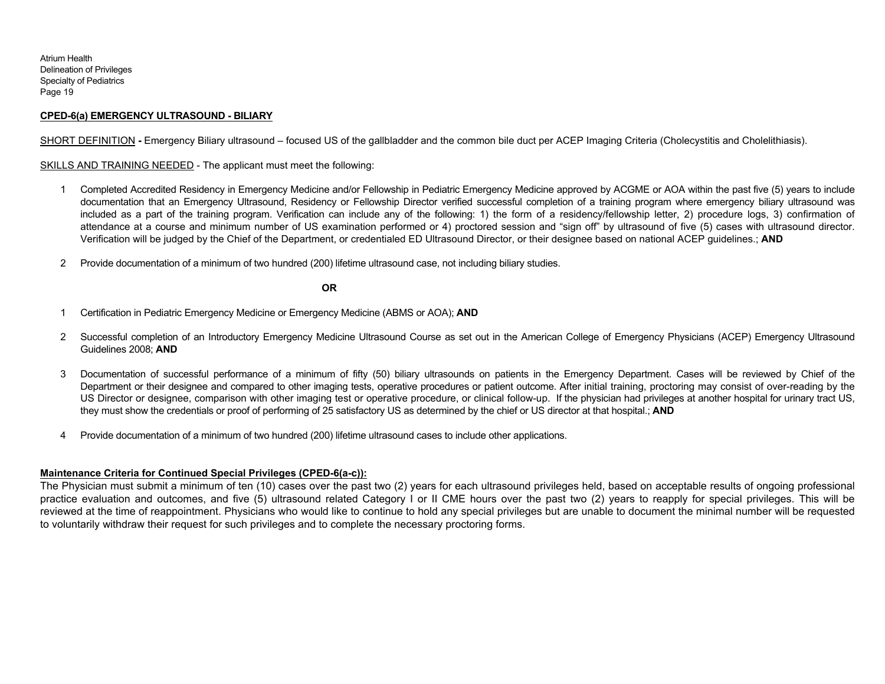### **CPED-6(a) EMERGENCY ULTRASOUND - BILIARY**

SHORT DEFINITION - Emergency Biliary ultrasound – focused US of the gallbladder and the common bile duct per ACEP Imaging Criteria (Cholecystitis and Cholelithiasis).

SKILLS AND TRAINING NEEDED - The applicant must meet the following:

- 1 Completed Accredited Residency in Emergency Medicine and/or Fellowship in Pediatric Emergency Medicine approved by ACGME or AOA within the past five (5) years to include documentation that an Emergency Ultrasound, Residency or Fellowship Director verified successful completion of a training program where emergency biliary ultrasound was included as a part of the training program. Verification can include any of the following: 1) the form of a residency/fellowship letter, 2) procedure logs, 3) confirmation of attendance at a course and minimum number of US examination performed or 4) proctored session and "sign off" by ultrasound of five (5) cases with ultrasound director. Verification will be judged by the Chief of the Department, or credentialed ED Ultrasound Director, or their designee based on national ACEP guidelines.; **AND**
- 2 Provide documentation of a minimum of two hundred (200) lifetime ultrasound case, not including biliary studies.

**OR** 

- 1 Certification in Pediatric Emergency Medicine or Emergency Medicine (ABMS or AOA); **AND**
- 2 Successful completion of an Introductory Emergency Medicine Ultrasound Course as set out in the American College of Emergency Physicians (ACEP) Emergency Ultrasound Guidelines 2008; **AND**
- 3 Documentation of successful performance of a minimum of fifty (50) biliary ultrasounds on patients in the Emergency Department. Cases will be reviewed by Chief of the Department or their designee and compared to other imaging tests, operative procedures or patient outcome. After initial training, proctoring may consist of over-reading by the US Director or designee, comparison with other imaging test or operative procedure, or clinical follow-up. If the physician had privileges at another hospital for urinary tract US, they must show the credentials or proof of performing of 25 satisfactory US as determined by the chief or US director at that hospital.; **AND**
- 4 Provide documentation of a minimum of two hundred (200) lifetime ultrasound cases to include other applications.

# **Maintenance Criteria for Continued Special Privileges (CPED-6(a-c)):**

The Physician must submit a minimum of ten (10) cases over the past two (2) years for each ultrasound privileges held, based on acceptable results of ongoing professional practice evaluation and outcomes, and five (5) ultrasound related Category I or II CME hours over the past two (2) years to reapply for special privileges. This will be reviewed at the time of reappointment. Physicians who would like to continue to hold any special privileges but are unable to document the minimal number will be requested to voluntarily withdraw their request for such privileges and to complete the necessary proctoring forms.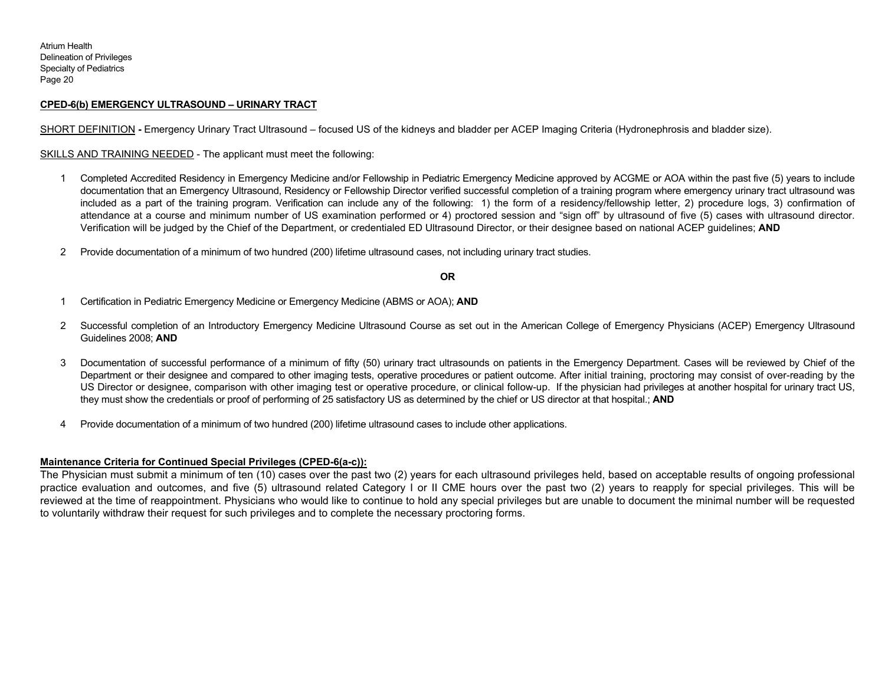#### **CPED-6(b) EMERGENCY ULTRASOUND – URINARY TRACT**

SHORT DEFINITION **-** Emergency Urinary Tract Ultrasound – focused US of the kidneys and bladder per ACEP Imaging Criteria (Hydronephrosis and bladder size).

SKILLS AND TRAINING NEEDED - The applicant must meet the following:

- 1 Completed Accredited Residency in Emergency Medicine and/or Fellowship in Pediatric Emergency Medicine approved by ACGME or AOA within the past five (5) years to include documentation that an Emergency Ultrasound, Residency or Fellowship Director verified successful completion of a training program where emergency urinary tract ultrasound was included as a part of the training program. Verification can include any of the following: 1) the form of a residency/fellowship letter, 2) procedure logs, 3) confirmation of attendance at a course and minimum number of US examination performed or 4) proctored session and "sign off" by ultrasound of five (5) cases with ultrasound director. Verification will be judged by the Chief of the Department, or credentialed ED Ultrasound Director, or their designee based on national ACEP guidelines; **AND**
- 2 Provide documentation of a minimum of two hundred (200) lifetime ultrasound cases, not including urinary tract studies.

#### **OR**

- 1 Certification in Pediatric Emergency Medicine or Emergency Medicine (ABMS or AOA); **AND**
- 2 Successful completion of an Introductory Emergency Medicine Ultrasound Course as set out in the American College of Emergency Physicians (ACEP) Emergency Ultrasound Guidelines 2008; **AND**
- 3 Documentation of successful performance of a minimum of fifty (50) urinary tract ultrasounds on patients in the Emergency Department. Cases will be reviewed by Chief of the Department or their designee and compared to other imaging tests, operative procedures or patient outcome. After initial training, proctoring may consist of over-reading by the US Director or designee, comparison with other imaging test or operative procedure, or clinical follow-up. If the physician had privileges at another hospital for urinary tract US, they must show the credentials or proof of performing of 25 satisfactory US as determined by the chief or US director at that hospital.; **AND**
- 4 Provide documentation of a minimum of two hundred (200) lifetime ultrasound cases to include other applications.

#### **Maintenance Criteria for Continued Special Privileges (CPED-6(a-c)):**

The Physician must submit a minimum of ten (10) cases over the past two (2) years for each ultrasound privileges held, based on acceptable results of ongoing professional practice evaluation and outcomes, and five (5) ultrasound related Category I or II CME hours over the past two (2) years to reapply for special privileges. This will be reviewed at the time of reappointment. Physicians who would like to continue to hold any special privileges but are unable to document the minimal number will be requested to voluntarily withdraw their request for such privileges and to complete the necessary proctoring forms.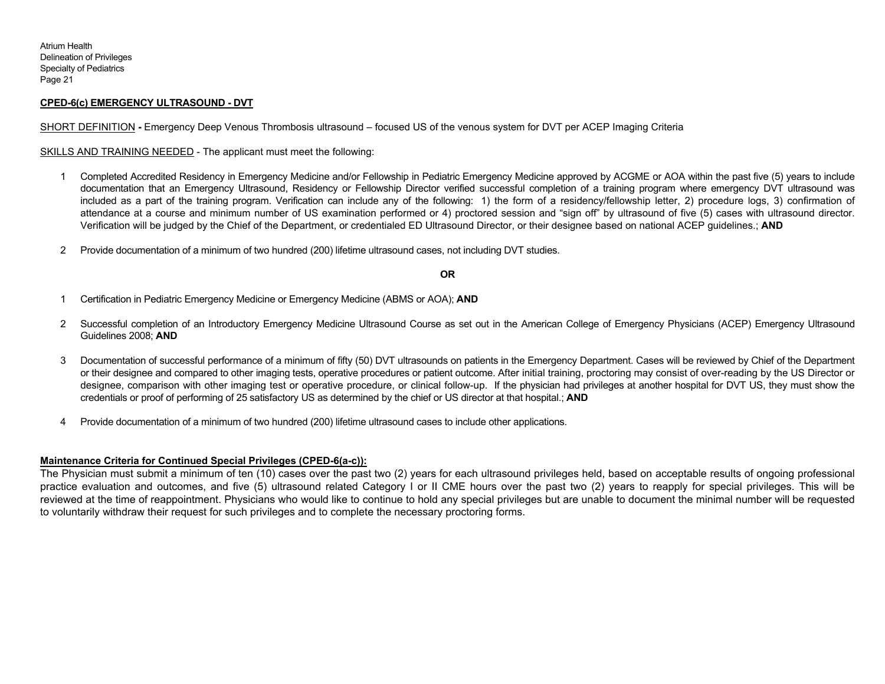# **CPED-6(c) EMERGENCY ULTRASOUND - DVT**

SHORT DEFINITION **-** Emergency Deep Venous Thrombosis ultrasound – focused US of the venous system for DVT per ACEP Imaging Criteria

SKILLS AND TRAINING NEEDED - The applicant must meet the following:

- 1 Completed Accredited Residency in Emergency Medicine and/or Fellowship in Pediatric Emergency Medicine approved by ACGME or AOA within the past five (5) years to include documentation that an Emergency Ultrasound, Residency or Fellowship Director verified successful completion of a training program where emergency DVT ultrasound was included as a part of the training program. Verification can include any of the following: 1) the form of a residency/fellowship letter, 2) procedure logs, 3) confirmation of attendance at a course and minimum number of US examination performed or 4) proctored session and "sign off" by ultrasound of five (5) cases with ultrasound director. Verification will be judged by the Chief of the Department, or credentialed ED Ultrasound Director, or their designee based on national ACEP guidelines.; **AND**
- 2 Provide documentation of a minimum of two hundred (200) lifetime ultrasound cases, not including DVT studies.

#### **OR**

- 1 Certification in Pediatric Emergency Medicine or Emergency Medicine (ABMS or AOA); **AND**
- 2 Successful completion of an Introductory Emergency Medicine Ultrasound Course as set out in the American College of Emergency Physicians (ACEP) Emergency Ultrasound Guidelines 2008; **AND**
- 3 Documentation of successful performance of a minimum of fifty (50) DVT ultrasounds on patients in the Emergency Department. Cases will be reviewed by Chief of the Department or their designee and compared to other imaging tests, operative procedures or patient outcome. After initial training, proctoring may consist of over-reading by the US Director or designee, comparison with other imaging test or operative procedure, or clinical follow-up. If the physician had privileges at another hospital for DVT US, they must show the credentials or proof of performing of 25 satisfactory US as determined by the chief or US director at that hospital.; **AND**
- 4 Provide documentation of a minimum of two hundred (200) lifetime ultrasound cases to include other applications.

### **Maintenance Criteria for Continued Special Privileges (CPED-6(a-c)):**

The Physician must submit a minimum of ten (10) cases over the past two (2) years for each ultrasound privileges held, based on acceptable results of ongoing professional practice evaluation and outcomes, and five (5) ultrasound related Category I or II CME hours over the past two (2) years to reapply for special privileges. This will be reviewed at the time of reappointment. Physicians who would like to continue to hold any special privileges but are unable to document the minimal number will be requested to voluntarily withdraw their request for such privileges and to complete the necessary proctoring forms.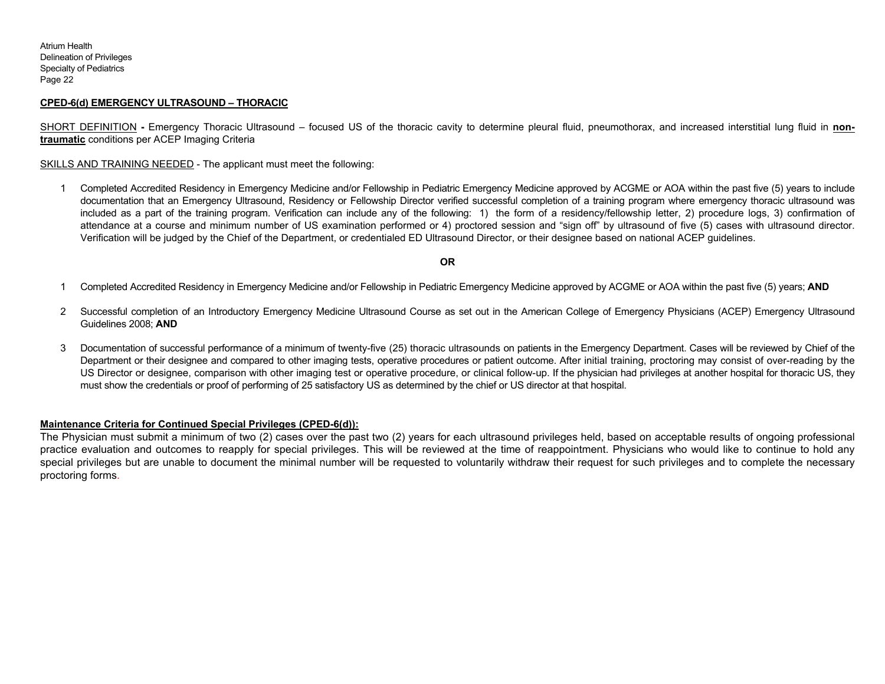# **CPED-6(d) EMERGENCY ULTRASOUND – THORACIC**

SHORT DEFINITION - Emergency Thoracic Ultrasound – focused US of the thoracic cavity to determine pleural fluid, pneumothorax, and increased interstitial lung fluid in non**traumatic** conditions per ACEP Imaging Criteria

SKILLS AND TRAINING NEEDED - The applicant must meet the following:

1 Completed Accredited Residency in Emergency Medicine and/or Fellowship in Pediatric Emergency Medicine approved by ACGME or AOA within the past five (5) years to include documentation that an Emergency Ultrasound, Residency or Fellowship Director verified successful completion of a training program where emergency thoracic ultrasound was included as a part of the training program. Verification can include any of the following: 1) the form of a residency/fellowship letter, 2) procedure logs, 3) confirmation of attendance at a course and minimum number of US examination performed or 4) proctored session and "sign off" by ultrasound of five (5) cases with ultrasound director. Verification will be judged by the Chief of the Department, or credentialed ED Ultrasound Director, or their designee based on national ACEP guidelines.

#### **OR**

- 1 Completed Accredited Residency in Emergency Medicine and/or Fellowship in Pediatric Emergency Medicine approved by ACGME or AOA within the past five (5) years; **AND**
- 2 Successful completion of an Introductory Emergency Medicine Ultrasound Course as set out in the American College of Emergency Physicians (ACEP) Emergency Ultrasound Guidelines 2008; **AND**
- 3 Documentation of successful performance of a minimum of twenty-five (25) thoracic ultrasounds on patients in the Emergency Department. Cases will be reviewed by Chief of the Department or their designee and compared to other imaging tests, operative procedures or patient outcome. After initial training, proctoring may consist of over-reading by the US Director or designee, comparison with other imaging test or operative procedure, or clinical follow-up. If the physician had privileges at another hospital for thoracic US, they must show the credentials or proof of performing of 25 satisfactory US as determined by the chief or US director at that hospital.

#### **Maintenance Criteria for Continued Special Privileges (CPED-6(d)):**

The Physician must submit a minimum of two (2) cases over the past two (2) years for each ultrasound privileges held, based on acceptable results of ongoing professional practice evaluation and outcomes to reapply for special privileges. This will be reviewed at the time of reappointment. Physicians who would like to continue to hold any special privileges but are unable to document the minimal number will be requested to voluntarily withdraw their request for such privileges and to complete the necessary proctoring forms.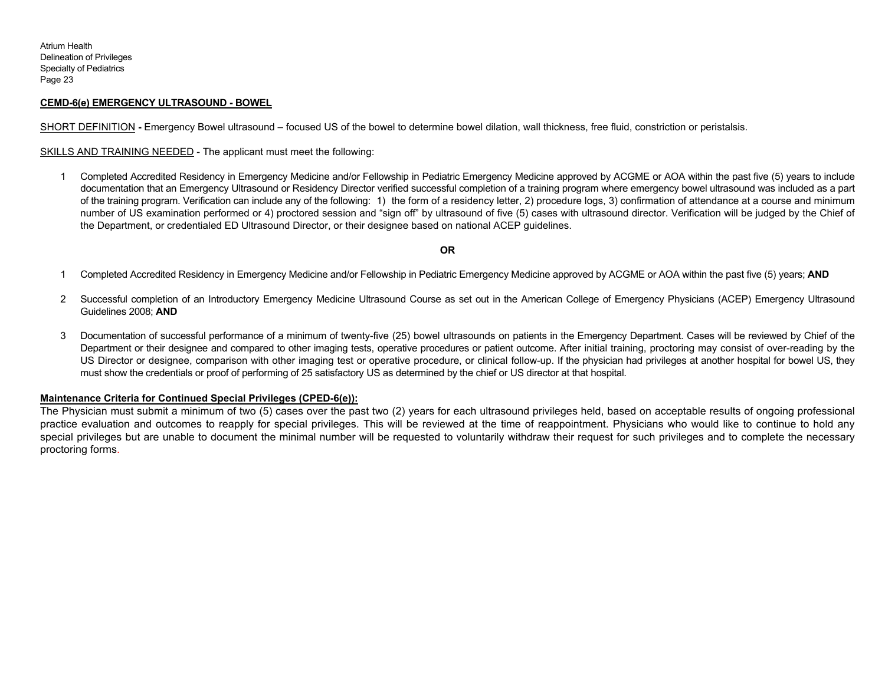# **CEMD-6(e) EMERGENCY ULTRASOUND - BOWEL**

SHORT DEFINITION - Emergency Bowel ultrasound – focused US of the bowel to determine bowel dilation, wall thickness, free fluid, constriction or peristalsis.

SKILLS AND TRAINING NEEDED - The applicant must meet the following:

1 Completed Accredited Residency in Emergency Medicine and/or Fellowship in Pediatric Emergency Medicine approved by ACGME or AOA within the past five (5) years to include documentation that an Emergency Ultrasound or Residency Director verified successful completion of a training program where emergency bowel ultrasound was included as a part of the training program. Verification can include any of the following: 1) the form of a residency letter, 2) procedure logs, 3) confirmation of attendance at a course and minimum number of US examination performed or 4) proctored session and "sign off" by ultrasound of five (5) cases with ultrasound director. Verification will be judged by the Chief of the Department, or credentialed ED Ultrasound Director, or their designee based on national ACEP guidelines.

#### **OR**

- 1 Completed Accredited Residency in Emergency Medicine and/or Fellowship in Pediatric Emergency Medicine approved by ACGME or AOA within the past five (5) years; **AND**
- 2 Successful completion of an Introductory Emergency Medicine Ultrasound Course as set out in the American College of Emergency Physicians (ACEP) Emergency Ultrasound Guidelines 2008; **AND**
- 3 Documentation of successful performance of a minimum of twenty-five (25) bowel ultrasounds on patients in the Emergency Department. Cases will be reviewed by Chief of the Department or their designee and compared to other imaging tests, operative procedures or patient outcome. After initial training, proctoring may consist of over-reading by the US Director or designee, comparison with other imaging test or operative procedure, or clinical follow-up. If the physician had privileges at another hospital for bowel US, they must show the credentials or proof of performing of 25 satisfactory US as determined by the chief or US director at that hospital.

### **Maintenance Criteria for Continued Special Privileges (CPED-6(e)):**

The Physician must submit a minimum of two (5) cases over the past two (2) years for each ultrasound privileges held, based on acceptable results of ongoing professional practice evaluation and outcomes to reapply for special privileges. This will be reviewed at the time of reappointment. Physicians who would like to continue to hold any special privileges but are unable to document the minimal number will be requested to voluntarily withdraw their request for such privileges and to complete the necessary proctoring forms.